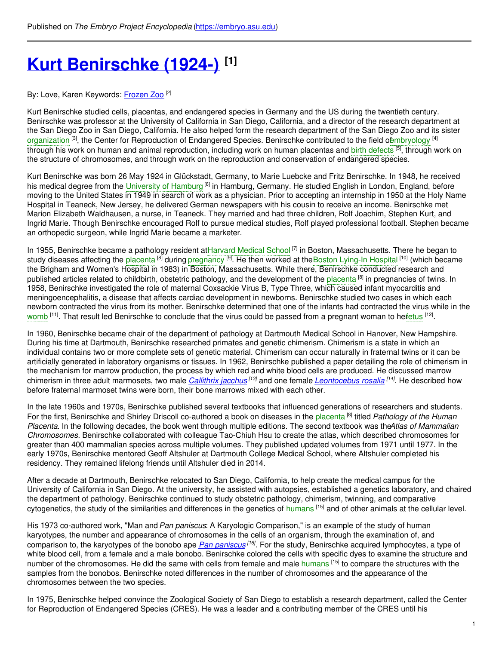# **Kurt [Benirschke](https://embryo.asu.edu/pages/kurt-benirschke-1924) (1924-) [1]**

#### By: Love, Karen Keywords: <u>[Frozen](https://embryo.asu.edu/keywords/frozen-zoo) Zoo</u> <sup>(2)</sup>

Kurt Benirschke studied cells, placentas, and endangered species in Germany and the US during the twentieth century. Benirschke was professor at the University of California in San Diego, California, and a director of the research department at the San Diego Zoo in San Diego, California. He also helped form the research department of the San Diego Zoo and its sister [organization](https://embryo.asu.edu/search?text=organization) <sup>[3]</sup>, the Center for Reproduction of Endangered Species. Benirschke contributed to the field [ofembryology](https://embryo.asu.edu/search?text=embryology) <sup>[4]</sup> through his work on human and animal reproduction, including work on human placentas and <mark>birth [defects](https://embryo.asu.edu/search?text=birth%20defects) <sup>[5]</sup>, through work on</mark> the structure of chromosomes, and through work on the reproduction and conservation of endangered species.

Kurt Benirschke was born 26 May 1924 in Glückstadt, Germany, to Marie Luebcke and Fritz Benirschke. In 1948, he received his medical degree from the [University](https://embryo.asu.edu/search?text=University%20of%20Hamburg) of Hamburg <sup>[6]</sup> in Hamburg, Germany. He studied English in London, England, before moving to the United States in 1949 in search of work as a physician. Prior to accepting an internship in 1950 at the Holy Name Hospital in Teaneck, New Jersey, he delivered German newspapers with his cousin to receive an income. Benirschke met Marion Elizabeth Waldhausen, a nurse, in Teaneck. They married and had three children, Rolf Joachim, Stephen Kurt, and Ingrid Marie. Though Benirschke encouraged Rolf to pursue medical studies, Rolf played professional football. Stephen became an orthopedic surgeon, while Ingrid Marie became a marketer.

In 1955, Benirschke became a pathology resident a[tHarvard](https://embryo.asu.edu/search?text=Harvard%20Medical%20School) Medical School<sup>[7]</sup> in Boston, Massachusetts. There he began to study diseases affecting the [placenta](https://embryo.asu.edu/search?text=placenta) <sup>[8]</sup> during [pregnancy](https://embryo.asu.edu/search?text=pregnancy) <sup>[9]</sup>. He then worked at theBoston Lying-In [Hospital](https://embryo.asu.edu/search?text=Boston%20Lying-In%20Hospital) <sup>[10]</sup> (which became the Brigham and Women's Hospital in 1983) in Boston, Massachusetts. While there, Benirschke conducted research and published articles related to childbirth, obstetric pathology, and the development of the [placenta](https://embryo.asu.edu/search?text=placenta) <sup>[8]</sup> in pregnancies of twins. In 1958, Benirschke investigated the role of maternal Coxsackie Virus B, Type Three, which caused infant myocarditis and meningoencephalitis, a disease that affects cardiac development in newborns. Benirschke studied two cases in which each newborn contracted the virus from its mother. Benirschke determined that one of the infants had contracted the virus while in the [womb](https://embryo.asu.edu/search?text=womb) <sup>[11]</sup>. That result led Benirschke to conclude that the virus could be passed from a pregnant woman to hefetus <sup>[12]</sup>.

In 1960, Benirschke became chair of the department of pathology at Dartmouth Medical School in Hanover, New Hampshire. During his time at Dartmouth, Benirschke researched primates and genetic chimerism. Chimerism is a state in which an individual contains two or more complete sets of genetic material. Chimerism can occur naturally in fraternal twins or it can be artificially generated in laboratory organisms or tissues. In 1962, Benirschke published a paper detailing the role of chimerism in the mechanism for marrow production, the process by which red and white blood cells are produced. He discussed marrow chimerism in three adult marmosets, two male *[Callithrix](http://eol.org/pages/323890/overview) jacchus [13]* and one female *[Leontocebus](http://eol.org/pages/323897/overview) rosalia [14]* . He described how before fraternal marmoset twins were born, their bone marrows mixed with each other.

In the late 1960s and 1970s, Benirschke published several textbooks that influenced generations of researchers and students. For the first, Benirschke and Shirley Driscoll co-authored a book on diseases in the [placenta](https://embryo.asu.edu/search?text=placenta) [8] titled *Pathology of the Human Placenta*. In the following decades, the book went through multiple editions. The second textbook was the*Atlas of Mammalian Chromosomes*. Benirschke collaborated with colleague Tao-Chiuh Hsu to create the atlas, which described chromosomes for greater than 400 mammalian species across multiple volumes. They published updated volumes from 1971 until 1977. In the early 1970s, Benirschke mentored Geoff Altshuler at Dartmouth College Medical School, where Altshuler completed his residency. They remained lifelong friends until Altshuler died in 2014.

After a decade at Dartmouth, Benirschke relocated to San Diego, California, to help create the medical campus for the University of California in San Diego. At the university, he assisted with autopsies, established a genetics laboratory, and chaired the department of pathology. Benirschke continued to study obstetric pathology, chimerism, twinning, and comparative cytogenetics, the study of the similarities and differences in the genetics of [humans](https://embryo.asu.edu/search?text=humans) <sup>[15]</sup> and of other animals at the cellular level.

His 1973 co-authored work, "Man and*Pan paniscus*: A Karyologic Comparison," is an example of the study of human karyotypes, the number and appearance of chromosomes in the cells of an organism, through the examination of, and comparison to, the karyotypes of the bonobo ape *Pan [paniscus](http://eol.org/pages/326448/overview) [16]* . For the study, Benirschke acquired lymphocytes, a type of white blood cell, from a female and a male bonobo. Benirschke colored the cells with specific dyes to examine the structure and number of the chromosomes. He did the same with cells from female and male [humans](https://embryo.asu.edu/search?text=humans) [15] to compare the structures with the samples from the bonobos. Benirschke noted differences in the number of chromosomes and the appearance of the chromosomes between the two species.

In 1975, Benirschke helped convince the Zoological Society of San Diego to establish a research department, called the Center for Reproduction of Endangered Species (CRES). He was a leader and a contributing member of the CRES until his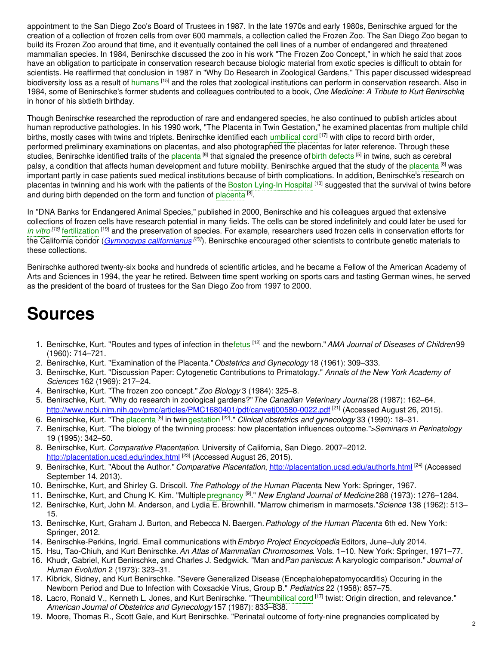appointment to the San Diego Zoo's Board of Trustees in 1987. In the late 1970s and early 1980s, Benirschke argued for the creation of a collection of frozen cells from over 600 mammals, a collection called the Frozen Zoo. The San Diego Zoo began to build its Frozen Zoo around that time, and it eventually contained the cell lines of a number of endangered and threatened mammalian species. In 1984, Benirschke discussed the zoo in his work "The Frozen Zoo Concept," in which he said that zoos have an obligation to participate in conservation research because biologic material from exotic species is difficult to obtain for scientists. He reaffirmed that conclusion in 1987 in "Why Do Research in Zoological Gardens," This paper discussed widespread biodiversity loss as a result of [humans](https://embryo.asu.edu/search?text=humans) [15] and the roles that zoological institutions can perform in conservation research. Also in 1984, some of Benirschke's former students and colleagues contributed to a book, *One Medicine: A Tribute to Kurt Benirschke*, in honor of his sixtieth birthday.

Though Benirschke researched the reproduction of rare and endangered species, he also continued to publish articles about human reproductive pathologies. In his 1990 work, "The Placenta in Twin Gestation," he examined placentas from multiple child births, mostly cases with twins and triplets. Benirschke identified each [umbilical](https://embryo.asu.edu/search?text=umbilical%20cord) cord <sup>[17]</sup> with clips to record birth order, performed preliminary examinations on placentas, and also photographed the placentas for later reference. Through these studies, Benirschke identified traits of the [placenta](https://embryo.asu.edu/search?text=placenta) <sup>[8]</sup> that signaled the presence of birth [defects](https://embryo.asu.edu/search?text=birth%20defects) <sup>[5]</sup> in twins, such as cerebral palsy, a condition that affects human development and future mobility. Benirschke argued that the study of the [placenta](https://embryo.asu.edu/search?text=placenta) <sup>[8]</sup> was important partly in case patients sued medical institutions because of birth complications. In addition, Benirschke's research on placentas in twinning and his work with the patients of the Boston [Lying-In](https://embryo.asu.edu/search?text=Boston%20Lying-In%20Hospital) Hospital [10] suggested that the survival of twins before and during birth depended on the form and function of [placenta](https://embryo.asu.edu/search?text=placenta) [8].

In "DNA Banks for Endangered Animal Species," published in 2000, Benirschke and his colleagues argued that extensive collections of frozen cells have research potential in many fields. The cells can be stored indefinitely and could later be used for *in [vitro](https://embryo.asu.edu/search?text=in%20vitro)*<sup>[18]</sup> [fertilization](https://embryo.asu.edu/search?text=fertilization) <sup>[19]</sup> and the preservation of species. For example, researchers used frozen cells in conservation efforts for the California condor (*Gymnogyps [californianus](http://eol.org/pages/1049012/overview) [20]*). Benirschke encouraged other scientists to contribute genetic materials to these collections.

Benirschke authored twenty-six books and hundreds of scientific articles, and he became a Fellow of the American Academy of Arts and Sciences in 1994, the year he retired. Between time spent working on sports cars and tasting German wines, he served as the president of the board of trustees for the San Diego Zoo from 1997 to 2000.

# **Sources**

- 1. Benirschke, Kurt. "Routes and types of infection in th[efetus](https://embryo.asu.edu/search?text=fetus) [12] and the newborn."*AMA Journal of Diseases of Children* 99 (1960): 714–721.
- 2. Benirschke, Kurt. "Examination of the Placenta."*Obstetrics and Gynecology* 18 (1961): 309–333.
- 3. Benirschke, Kurt. "Discussion Paper: Cytogenetic Contributions to Primatology." *Annals of the New York Academy of Sciences* 162 (1969): 217–24.
- 4. Benirschke, Kurt. "The frozen zoo concept."*Zoo Biology* 3 (1984): 325–8.
- 5. Benirschke, Kurt. "Why do research in zoological gardens?"*The Canadian Veterinary Journal* 28 (1987): 162–64. <http://www.ncbi.nlm.nih.gov/pmc/articles/PMC1680401/pdf/canvetj00580-0022.pdf><sup>[21]</sup> (Accessed August 26, 2015).
- 6. Benirschke, Kurt. "The [placenta](https://embryo.asu.edu/search?text=placenta) <sup>[8]</sup> in twin [gestation](https://embryo.asu.edu/search?text=gestation) <sup>[22]</sup>." *Clinical obstetrics and gynecology* 33 (1990): 18–31.
- 7. Benirschke, Kurt. "The biology of the twinning process: how placentation influences outcome."*>Seminars in Perinatology* 19 (1995): 342–50.
- 8. Benirschke, Kurt. *Comparative Placentation*. University of California, San Diego. 2007–2012. <http://placentation.ucsd.edu/index.html> [23] (Accessed August 26, 2015).
- 9. Benirschke, Kurt. "About the Author."*Comparative Placentation*, <http://placentation.ucsd.edu/authorfs.html> [24] (Accessed September 14, 2013).
- 10. Benirschke, Kurt, and Shirley G. Driscoll. *The Pathology of the Human Placenta*. New York: Springer, 1967.
- 11. Benirschke, Kurt, and Chung K. Kim. "Multiple [pregnancy](https://embryo.asu.edu/search?text=pregnancy) [9] ." *New England Journal of Medicine* 288 (1973): 1276–1284.
- 12. Benirschke, Kurt, John M. Anderson, and Lydia E. Brownhill. "Marrow chimerism in marmosets."*Science* 138 (1962): 513– 15.
- 13. Benirschke, Kurt, Graham J. Burton, and Rebecca N. Baergen.*Pathology of the Human Placenta*. 6th ed. New York: Springer, 2012.
- 14. Benirschke-Perkins, Ingrid. Email communications with*Embryo Project Encyclopedia* Editors, June–July 2014.
- 15. Hsu, Tao-Chiuh, and Kurt Benirschke. *An Atlas of Mammalian Chromosomes*. Vols. 1–10. New York: Springer, 1971–77.
- 16. Khudr, Gabriel, Kurt Benirschke, and Charles J. Sedgwick. "Man and*Pan paniscus*: A karyologic comparison." *Journal of Human Evolution* 2 (1973): 323–31.
- 17. Kibrick, Sidney, and Kurt Benirschke. "Severe Generalized Disease (Encephalohepatomyocarditis) Occuring in the Newborn Period and Due to Infection with Coxsackie Virus, Group B." *Pediatrics* 22 (1958): 857–75.
- 18. Lacro, Ronald V., Kenneth L. Jones, and Kurt Benirschke. "The[umbilical](https://embryo.asu.edu/search?text=umbilical%20cord) cord [17] twist: Origin direction, and relevance." *American Journal of Obstetrics and Gynecology*157 (1987): 833–838.
- 19. Moore, Thomas R., Scott Gale, and Kurt Benirschke. "Perinatal outcome of forty-nine pregnancies complicated by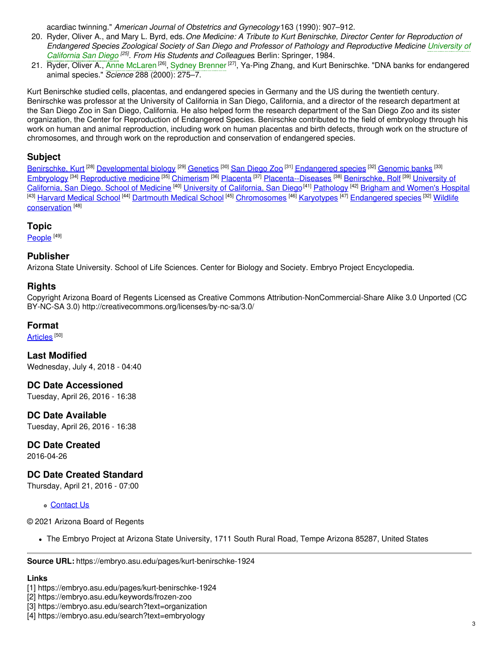acardiac twinning." *American Journal of Obstetrics and Gynecology*163 (1990): 907–912.

- 20. Ryder, Oliver A., and Mary L. Byrd, eds.*One Medicine: A Tribute to Kurt Benirschke, Director Center for Reproduction of* Endangered Species Zoological Society of San Diego and Professor of Pathology and [Reproductive](https://embryo.asu.edu/search?text=University%20of%20California%20San%20Diego) Medicine University of *California San Diego [25] . From His Students and Colleagues*. Berlin: Springer, 1984.
- 21. Ryder, Oliver A., Anne [McLaren](https://embryo.asu.edu/search?text=Anne%20McLaren) <sup>[26]</sup>, Sydney [Brenner](https://embryo.asu.edu/search?text=Sydney%20Brenner) <sup>[27]</sup>, Ya-Ping Zhang, and Kurt Benirschke. "DNA banks for endangered animal species." *Science* 288 (2000): 275–7.

Kurt Benirschke studied cells, placentas, and endangered species in Germany and the US during the twentieth century. Benirschke was professor at the University of California in San Diego, California, and a director of the research department at the San Diego Zoo in San Diego, California. He also helped form the research department of the San Diego Zoo and its sister organization, the Center for Reproduction of Endangered Species. Benirschke contributed to the field of embryology through his work on human and animal reproduction, including work on human placentas and birth defects, through work on the structure of chromosomes, and through work on the reproduction and conservation of endangered species.

### **Subject**

[Benirschke,](https://embryo.asu.edu/library-congress-subject-headings/benirschke-kurt) Kurt <sup>[28]</sup> [Developmental](https://embryo.asu.edu/library-congress-subject-headings/developmental-biology) biology <sup>[29]</sup> [Genetics](https://embryo.asu.edu/library-congress-subject-headings/genetics) <sup>[30]</sup> San [Diego](https://embryo.asu.edu/library-congress-subject-headings/san-diego-zoo) Zoo <sup>[31]</sup> [Endangered](https://embryo.asu.edu/library-congress-subject-headings/endangered-species) species <sup>[32]</sup> [Genomic](https://embryo.asu.edu/library-congress-subject-headings/genomic-banks) banks <sup>[33]</sup> [Embryology](https://embryo.asu.edu/library-congress-subject-headings/embryology) <sup>[34]</sup> [Reproductive](https://embryo.asu.edu/library-congress-subject-headings/reproductive-medicine) medicine <sup>[35]</sup> [Chimerism](https://embryo.asu.edu/library-congress-subject-headings/chimerism) <sup>[36]</sup> [Placenta](https://embryo.asu.edu/library-congress-subject-headings/placenta) <sup>[37]</sup> [Placenta--Diseases](https://embryo.asu.edu/library-congress-subject-headings/university-california-san-diego-school-medicine-0) <sup>[38]</sup> [Benirschke,](https://embryo.asu.edu/library-congress-subject-headings/benirschke-rolf) Rolf <sup>[39]</sup> University of [California,](https://embryo.asu.edu/library-congress-subject-headings/university-california-san-diego) San Diego. School of Medicine <sup>[40]</sup> University of California, San Diego<sup>[41]</sup> [Pathology](https://embryo.asu.edu/library-congress-subject-headings/pathology) <sup>[42]</sup> Brigham and [Women's](https://embryo.asu.edu/library-congress-subject-headings/brigham-and-womens-hospital) Hospital <sup>[43]</sup> [Harvard](https://embryo.asu.edu/library-congress-subject-headings/harvard-medical-school) Medical School <sup>[44]</sup> [Dartmouth](https://embryo.asu.edu/library-congress-subject-headings/dartmouth-medical-school) Medical School <sup>[45]</sup> [Chromosomes](https://embryo.asu.edu/library-congress-subject-headings/wildlife-conservation) <sup>[46]</sup> [Karyotypes](https://embryo.asu.edu/library-congress-subject-headings/karyotypes) <sup>[47]</sup> [Endangered](https://embryo.asu.edu/library-congress-subject-headings/endangered-species) species <sup>[32]</sup> Wildlife conservation [48]

#### **Topic**

<u>[People](https://embryo.asu.edu/topics/people)  $^{[49]}$ </u>

### **Publisher**

Arizona State University. School of Life Sciences. Center for Biology and Society. Embryo Project Encyclopedia.

#### **Rights**

Copyright Arizona Board of Regents Licensed as Creative Commons Attribution-NonCommercial-Share Alike 3.0 Unported (CC BY-NC-SA 3.0) http://creativecommons.org/licenses/by-nc-sa/3.0/

#### **Format**

[Articles](https://embryo.asu.edu/formats/articles) <sup>[50]</sup>

**Last Modified** Wednesday, July 4, 2018 - 04:40

**DC Date Accessioned**

Tuesday, April 26, 2016 - 16:38

**DC Date Available** Tuesday, April 26, 2016 - 16:38

#### **DC Date Created**

2016-04-26

## **DC Date Created Standard**

Thursday, April 21, 2016 - 07:00

[Contact](https://embryo.asu.edu/contact) Us

© 2021 Arizona Board of Regents

The Embryo Project at Arizona State University, 1711 South Rural Road, Tempe Arizona 85287, United States

**Source URL:** https://embryo.asu.edu/pages/kurt-benirschke-1924

#### **Links**

[1] https://embryo.asu.edu/pages/kurt-benirschke-1924

[2] https://embryo.asu.edu/keywords/frozen-zoo

[3] https://embryo.asu.edu/search?text=organization

<sup>[4]</sup> https://embryo.asu.edu/search?text=embryology